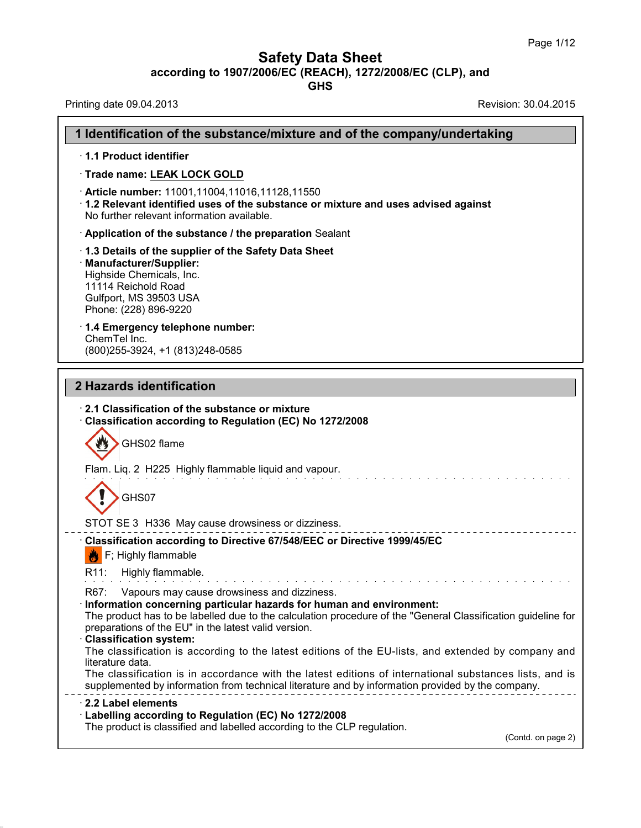**Safety Data Sheet**<br> **according to 1907/2006/EC (REACH), 1272/2008/EC (CLP), and**<br> **GHS** 

| <b>Safety Data Sheet</b><br>according to 1907/2006/EC (REACH), 1272/2008/EC (CLP), and<br><b>GHS</b>                                                                                                                                                                                                                                                                                                                                                                                                                                                                                                                                                                           | Page 1/12            |
|--------------------------------------------------------------------------------------------------------------------------------------------------------------------------------------------------------------------------------------------------------------------------------------------------------------------------------------------------------------------------------------------------------------------------------------------------------------------------------------------------------------------------------------------------------------------------------------------------------------------------------------------------------------------------------|----------------------|
| Printing date 09.04.2013                                                                                                                                                                                                                                                                                                                                                                                                                                                                                                                                                                                                                                                       | Revision: 30.04.2015 |
| 1 Identification of the substance/mixture and of the company/undertaking                                                                                                                                                                                                                                                                                                                                                                                                                                                                                                                                                                                                       |                      |
| 1.1 Product identifier                                                                                                                                                                                                                                                                                                                                                                                                                                                                                                                                                                                                                                                         |                      |
| · Trade name: LEAK LOCK GOLD                                                                                                                                                                                                                                                                                                                                                                                                                                                                                                                                                                                                                                                   |                      |
| · Article number: 11001,11004,11016,11128,11550<br>1.2 Relevant identified uses of the substance or mixture and uses advised against<br>No further relevant information available.                                                                                                                                                                                                                                                                                                                                                                                                                                                                                             |                      |
| Application of the substance / the preparation Sealant                                                                                                                                                                                                                                                                                                                                                                                                                                                                                                                                                                                                                         |                      |
| 1.3 Details of the supplier of the Safety Data Sheet<br>Manufacturer/Supplier:<br>Highside Chemicals, Inc.<br>11114 Reichold Road<br>Gulfport, MS 39503 USA<br>Phone: (228) 896-9220                                                                                                                                                                                                                                                                                                                                                                                                                                                                                           |                      |
| 1.4 Emergency telephone number:                                                                                                                                                                                                                                                                                                                                                                                                                                                                                                                                                                                                                                                |                      |
| ChemTel Inc.<br>(800) 255-3924, +1 (813) 248-0585                                                                                                                                                                                                                                                                                                                                                                                                                                                                                                                                                                                                                              |                      |
| 2 Hazards identification<br>2.1 Classification of the substance or mixture                                                                                                                                                                                                                                                                                                                                                                                                                                                                                                                                                                                                     |                      |
| Classification according to Regulation (EC) No 1272/2008<br>GHS02 flame                                                                                                                                                                                                                                                                                                                                                                                                                                                                                                                                                                                                        |                      |
| Flam. Liq. 2 H225 Highly flammable liquid and vapour.                                                                                                                                                                                                                                                                                                                                                                                                                                                                                                                                                                                                                          |                      |
| GHS07                                                                                                                                                                                                                                                                                                                                                                                                                                                                                                                                                                                                                                                                          |                      |
| STOT SE 3 H336 May cause drowsiness or dizziness.                                                                                                                                                                                                                                                                                                                                                                                                                                                                                                                                                                                                                              |                      |
| Classification according to Directive 67/548/EEC or Directive 1999/45/EC<br>$\left  \bullet \right $ F; Highly flammable                                                                                                                                                                                                                                                                                                                                                                                                                                                                                                                                                       |                      |
| Highly flammable.<br>R11:                                                                                                                                                                                                                                                                                                                                                                                                                                                                                                                                                                                                                                                      |                      |
| R67:<br>Vapours may cause drowsiness and dizziness.<br>Information concerning particular hazards for human and environment:<br>The product has to be labelled due to the calculation procedure of the "General Classification guideline for<br>preparations of the EU" in the latest valid version.<br><b>Classification system:</b><br>The classification is according to the latest editions of the EU-lists, and extended by company and<br>literature data.<br>The classification is in accordance with the latest editions of international substances lists, and is<br>supplemented by information from technical literature and by information provided by the company. |                      |
| 2.2 Label elements                                                                                                                                                                                                                                                                                                                                                                                                                                                                                                                                                                                                                                                             |                      |
| Labelling according to Regulation (EC) No 1272/2008<br>The product is classified and labelled according to the CLP regulation.                                                                                                                                                                                                                                                                                                                                                                                                                                                                                                                                                 | (Contd. on page 2)   |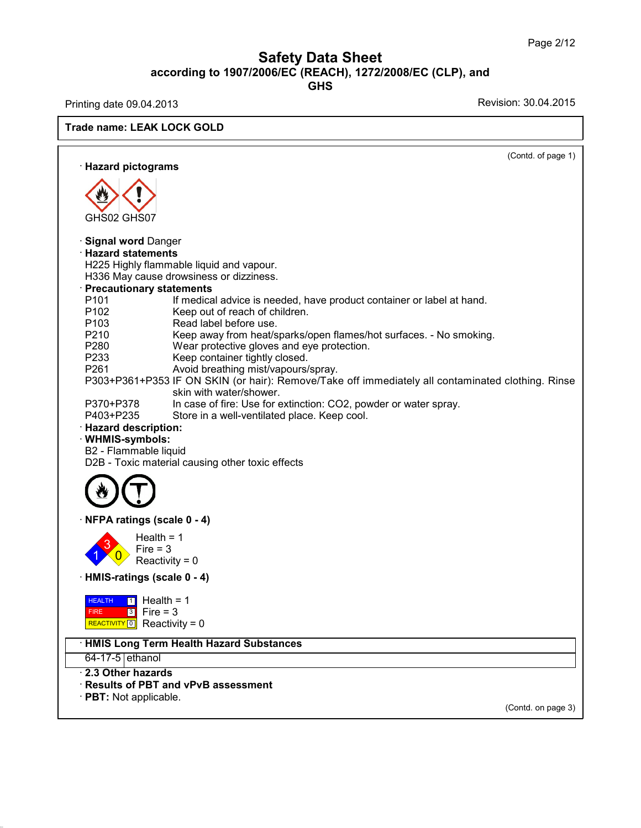### Page 2/<br> **Safety Data Sheet**<br> **according to 1907/2006/EC (REACH), 1272/2008/EC (CLP), and**<br>
GHS **GHS** Page 2/12<br> **Safety Data Sheet**<br>
according to 1907/2006/EC (REACH), 1272/2008/EC (CLP), and<br>
GHS<br>
Revision: 30.04.2015<br>
Revision: 30.04.2015

| Revision: 30.04.2015<br><b>Trade name: LEAK LOCK GOLD</b><br>(Contd. of page 1)<br>· Hazard pictograms<br>GHS02 GHS07<br><b>Signal word Danger</b><br><b>Hazard statements</b><br>H225 Highly flammable liquid and vapour.<br>H336 May cause drowsiness or dizziness.<br><b>Precautionary statements</b><br>P101<br>If medical advice is needed, have product container or label at hand.<br>P <sub>102</sub><br>Keep out of reach of children.<br>Read label before use.<br>P <sub>103</sub><br>P210<br>Keep away from heat/sparks/open flames/hot surfaces. - No smoking.<br>P280<br>Wear protective gloves and eye protection.<br>P233<br>Keep container tightly closed.<br>Avoid breathing mist/vapours/spray.<br>P261<br>P303+P361+P353 IF ON SKIN (or hair): Remove/Take off immediately all contaminated clothing. Rinse<br>skin with water/shower.<br>P370+P378<br>In case of fire: Use for extinction: CO2, powder or water spray.<br>P403+P235<br>Store in a well-ventilated place. Keep cool.<br>· Hazard description:<br>· WHMIS-symbols:<br>B2 - Flammable liquid<br>D2B - Toxic material causing other toxic effects<br>NFPA ratings (scale 0 - 4)<br>$Health = 1$<br>3<br>Fire $=$ 3<br>Reactivity = $0$<br>HMIS-ratings (scale 0 - 4)<br><b>HEALTH</b><br>$\boxed{1}$ Health = 1<br>$3$ Fire = 3<br><b>FIRE</b><br>REACTIVITY 0 Reactivity = 0<br>· HMIS Long Term Health Hazard Substances<br>64-17-5 ethanol<br>2.3 Other hazards<br>· Results of PBT and vPvB assessment<br>$\cdot$ PBT: Not applicable.<br>(Contd. on page 3) |                          | according to 1907/2006/EC (REACH), 1272/2008/EC (CLP), and<br><b>GHS</b> |  |
|---------------------------------------------------------------------------------------------------------------------------------------------------------------------------------------------------------------------------------------------------------------------------------------------------------------------------------------------------------------------------------------------------------------------------------------------------------------------------------------------------------------------------------------------------------------------------------------------------------------------------------------------------------------------------------------------------------------------------------------------------------------------------------------------------------------------------------------------------------------------------------------------------------------------------------------------------------------------------------------------------------------------------------------------------------------------------------------------------------------------------------------------------------------------------------------------------------------------------------------------------------------------------------------------------------------------------------------------------------------------------------------------------------------------------------------------------------------------------------------------------------------------------------------------------|--------------------------|--------------------------------------------------------------------------|--|
|                                                                                                                                                                                                                                                                                                                                                                                                                                                                                                                                                                                                                                                                                                                                                                                                                                                                                                                                                                                                                                                                                                                                                                                                                                                                                                                                                                                                                                                                                                                                                   | Printing date 09.04.2013 |                                                                          |  |
|                                                                                                                                                                                                                                                                                                                                                                                                                                                                                                                                                                                                                                                                                                                                                                                                                                                                                                                                                                                                                                                                                                                                                                                                                                                                                                                                                                                                                                                                                                                                                   |                          |                                                                          |  |
|                                                                                                                                                                                                                                                                                                                                                                                                                                                                                                                                                                                                                                                                                                                                                                                                                                                                                                                                                                                                                                                                                                                                                                                                                                                                                                                                                                                                                                                                                                                                                   |                          |                                                                          |  |
|                                                                                                                                                                                                                                                                                                                                                                                                                                                                                                                                                                                                                                                                                                                                                                                                                                                                                                                                                                                                                                                                                                                                                                                                                                                                                                                                                                                                                                                                                                                                                   |                          |                                                                          |  |
|                                                                                                                                                                                                                                                                                                                                                                                                                                                                                                                                                                                                                                                                                                                                                                                                                                                                                                                                                                                                                                                                                                                                                                                                                                                                                                                                                                                                                                                                                                                                                   |                          |                                                                          |  |
|                                                                                                                                                                                                                                                                                                                                                                                                                                                                                                                                                                                                                                                                                                                                                                                                                                                                                                                                                                                                                                                                                                                                                                                                                                                                                                                                                                                                                                                                                                                                                   |                          |                                                                          |  |
|                                                                                                                                                                                                                                                                                                                                                                                                                                                                                                                                                                                                                                                                                                                                                                                                                                                                                                                                                                                                                                                                                                                                                                                                                                                                                                                                                                                                                                                                                                                                                   |                          |                                                                          |  |
|                                                                                                                                                                                                                                                                                                                                                                                                                                                                                                                                                                                                                                                                                                                                                                                                                                                                                                                                                                                                                                                                                                                                                                                                                                                                                                                                                                                                                                                                                                                                                   |                          |                                                                          |  |
|                                                                                                                                                                                                                                                                                                                                                                                                                                                                                                                                                                                                                                                                                                                                                                                                                                                                                                                                                                                                                                                                                                                                                                                                                                                                                                                                                                                                                                                                                                                                                   |                          |                                                                          |  |
|                                                                                                                                                                                                                                                                                                                                                                                                                                                                                                                                                                                                                                                                                                                                                                                                                                                                                                                                                                                                                                                                                                                                                                                                                                                                                                                                                                                                                                                                                                                                                   |                          |                                                                          |  |
|                                                                                                                                                                                                                                                                                                                                                                                                                                                                                                                                                                                                                                                                                                                                                                                                                                                                                                                                                                                                                                                                                                                                                                                                                                                                                                                                                                                                                                                                                                                                                   |                          |                                                                          |  |
|                                                                                                                                                                                                                                                                                                                                                                                                                                                                                                                                                                                                                                                                                                                                                                                                                                                                                                                                                                                                                                                                                                                                                                                                                                                                                                                                                                                                                                                                                                                                                   |                          |                                                                          |  |
|                                                                                                                                                                                                                                                                                                                                                                                                                                                                                                                                                                                                                                                                                                                                                                                                                                                                                                                                                                                                                                                                                                                                                                                                                                                                                                                                                                                                                                                                                                                                                   |                          |                                                                          |  |
|                                                                                                                                                                                                                                                                                                                                                                                                                                                                                                                                                                                                                                                                                                                                                                                                                                                                                                                                                                                                                                                                                                                                                                                                                                                                                                                                                                                                                                                                                                                                                   |                          |                                                                          |  |
|                                                                                                                                                                                                                                                                                                                                                                                                                                                                                                                                                                                                                                                                                                                                                                                                                                                                                                                                                                                                                                                                                                                                                                                                                                                                                                                                                                                                                                                                                                                                                   |                          |                                                                          |  |
|                                                                                                                                                                                                                                                                                                                                                                                                                                                                                                                                                                                                                                                                                                                                                                                                                                                                                                                                                                                                                                                                                                                                                                                                                                                                                                                                                                                                                                                                                                                                                   |                          |                                                                          |  |
|                                                                                                                                                                                                                                                                                                                                                                                                                                                                                                                                                                                                                                                                                                                                                                                                                                                                                                                                                                                                                                                                                                                                                                                                                                                                                                                                                                                                                                                                                                                                                   |                          |                                                                          |  |
|                                                                                                                                                                                                                                                                                                                                                                                                                                                                                                                                                                                                                                                                                                                                                                                                                                                                                                                                                                                                                                                                                                                                                                                                                                                                                                                                                                                                                                                                                                                                                   |                          |                                                                          |  |
|                                                                                                                                                                                                                                                                                                                                                                                                                                                                                                                                                                                                                                                                                                                                                                                                                                                                                                                                                                                                                                                                                                                                                                                                                                                                                                                                                                                                                                                                                                                                                   |                          |                                                                          |  |
|                                                                                                                                                                                                                                                                                                                                                                                                                                                                                                                                                                                                                                                                                                                                                                                                                                                                                                                                                                                                                                                                                                                                                                                                                                                                                                                                                                                                                                                                                                                                                   |                          |                                                                          |  |
|                                                                                                                                                                                                                                                                                                                                                                                                                                                                                                                                                                                                                                                                                                                                                                                                                                                                                                                                                                                                                                                                                                                                                                                                                                                                                                                                                                                                                                                                                                                                                   |                          |                                                                          |  |
|                                                                                                                                                                                                                                                                                                                                                                                                                                                                                                                                                                                                                                                                                                                                                                                                                                                                                                                                                                                                                                                                                                                                                                                                                                                                                                                                                                                                                                                                                                                                                   |                          |                                                                          |  |
|                                                                                                                                                                                                                                                                                                                                                                                                                                                                                                                                                                                                                                                                                                                                                                                                                                                                                                                                                                                                                                                                                                                                                                                                                                                                                                                                                                                                                                                                                                                                                   |                          |                                                                          |  |
|                                                                                                                                                                                                                                                                                                                                                                                                                                                                                                                                                                                                                                                                                                                                                                                                                                                                                                                                                                                                                                                                                                                                                                                                                                                                                                                                                                                                                                                                                                                                                   |                          |                                                                          |  |
|                                                                                                                                                                                                                                                                                                                                                                                                                                                                                                                                                                                                                                                                                                                                                                                                                                                                                                                                                                                                                                                                                                                                                                                                                                                                                                                                                                                                                                                                                                                                                   |                          |                                                                          |  |
|                                                                                                                                                                                                                                                                                                                                                                                                                                                                                                                                                                                                                                                                                                                                                                                                                                                                                                                                                                                                                                                                                                                                                                                                                                                                                                                                                                                                                                                                                                                                                   |                          |                                                                          |  |
|                                                                                                                                                                                                                                                                                                                                                                                                                                                                                                                                                                                                                                                                                                                                                                                                                                                                                                                                                                                                                                                                                                                                                                                                                                                                                                                                                                                                                                                                                                                                                   |                          |                                                                          |  |
|                                                                                                                                                                                                                                                                                                                                                                                                                                                                                                                                                                                                                                                                                                                                                                                                                                                                                                                                                                                                                                                                                                                                                                                                                                                                                                                                                                                                                                                                                                                                                   |                          |                                                                          |  |
|                                                                                                                                                                                                                                                                                                                                                                                                                                                                                                                                                                                                                                                                                                                                                                                                                                                                                                                                                                                                                                                                                                                                                                                                                                                                                                                                                                                                                                                                                                                                                   |                          |                                                                          |  |
|                                                                                                                                                                                                                                                                                                                                                                                                                                                                                                                                                                                                                                                                                                                                                                                                                                                                                                                                                                                                                                                                                                                                                                                                                                                                                                                                                                                                                                                                                                                                                   |                          |                                                                          |  |
|                                                                                                                                                                                                                                                                                                                                                                                                                                                                                                                                                                                                                                                                                                                                                                                                                                                                                                                                                                                                                                                                                                                                                                                                                                                                                                                                                                                                                                                                                                                                                   |                          |                                                                          |  |
|                                                                                                                                                                                                                                                                                                                                                                                                                                                                                                                                                                                                                                                                                                                                                                                                                                                                                                                                                                                                                                                                                                                                                                                                                                                                                                                                                                                                                                                                                                                                                   |                          |                                                                          |  |
|                                                                                                                                                                                                                                                                                                                                                                                                                                                                                                                                                                                                                                                                                                                                                                                                                                                                                                                                                                                                                                                                                                                                                                                                                                                                                                                                                                                                                                                                                                                                                   |                          |                                                                          |  |
|                                                                                                                                                                                                                                                                                                                                                                                                                                                                                                                                                                                                                                                                                                                                                                                                                                                                                                                                                                                                                                                                                                                                                                                                                                                                                                                                                                                                                                                                                                                                                   |                          |                                                                          |  |
|                                                                                                                                                                                                                                                                                                                                                                                                                                                                                                                                                                                                                                                                                                                                                                                                                                                                                                                                                                                                                                                                                                                                                                                                                                                                                                                                                                                                                                                                                                                                                   |                          |                                                                          |  |
|                                                                                                                                                                                                                                                                                                                                                                                                                                                                                                                                                                                                                                                                                                                                                                                                                                                                                                                                                                                                                                                                                                                                                                                                                                                                                                                                                                                                                                                                                                                                                   |                          |                                                                          |  |
|                                                                                                                                                                                                                                                                                                                                                                                                                                                                                                                                                                                                                                                                                                                                                                                                                                                                                                                                                                                                                                                                                                                                                                                                                                                                                                                                                                                                                                                                                                                                                   |                          |                                                                          |  |
|                                                                                                                                                                                                                                                                                                                                                                                                                                                                                                                                                                                                                                                                                                                                                                                                                                                                                                                                                                                                                                                                                                                                                                                                                                                                                                                                                                                                                                                                                                                                                   |                          |                                                                          |  |
|                                                                                                                                                                                                                                                                                                                                                                                                                                                                                                                                                                                                                                                                                                                                                                                                                                                                                                                                                                                                                                                                                                                                                                                                                                                                                                                                                                                                                                                                                                                                                   |                          |                                                                          |  |
|                                                                                                                                                                                                                                                                                                                                                                                                                                                                                                                                                                                                                                                                                                                                                                                                                                                                                                                                                                                                                                                                                                                                                                                                                                                                                                                                                                                                                                                                                                                                                   |                          |                                                                          |  |
|                                                                                                                                                                                                                                                                                                                                                                                                                                                                                                                                                                                                                                                                                                                                                                                                                                                                                                                                                                                                                                                                                                                                                                                                                                                                                                                                                                                                                                                                                                                                                   |                          |                                                                          |  |
|                                                                                                                                                                                                                                                                                                                                                                                                                                                                                                                                                                                                                                                                                                                                                                                                                                                                                                                                                                                                                                                                                                                                                                                                                                                                                                                                                                                                                                                                                                                                                   |                          |                                                                          |  |
|                                                                                                                                                                                                                                                                                                                                                                                                                                                                                                                                                                                                                                                                                                                                                                                                                                                                                                                                                                                                                                                                                                                                                                                                                                                                                                                                                                                                                                                                                                                                                   |                          |                                                                          |  |
|                                                                                                                                                                                                                                                                                                                                                                                                                                                                                                                                                                                                                                                                                                                                                                                                                                                                                                                                                                                                                                                                                                                                                                                                                                                                                                                                                                                                                                                                                                                                                   |                          |                                                                          |  |
|                                                                                                                                                                                                                                                                                                                                                                                                                                                                                                                                                                                                                                                                                                                                                                                                                                                                                                                                                                                                                                                                                                                                                                                                                                                                                                                                                                                                                                                                                                                                                   |                          |                                                                          |  |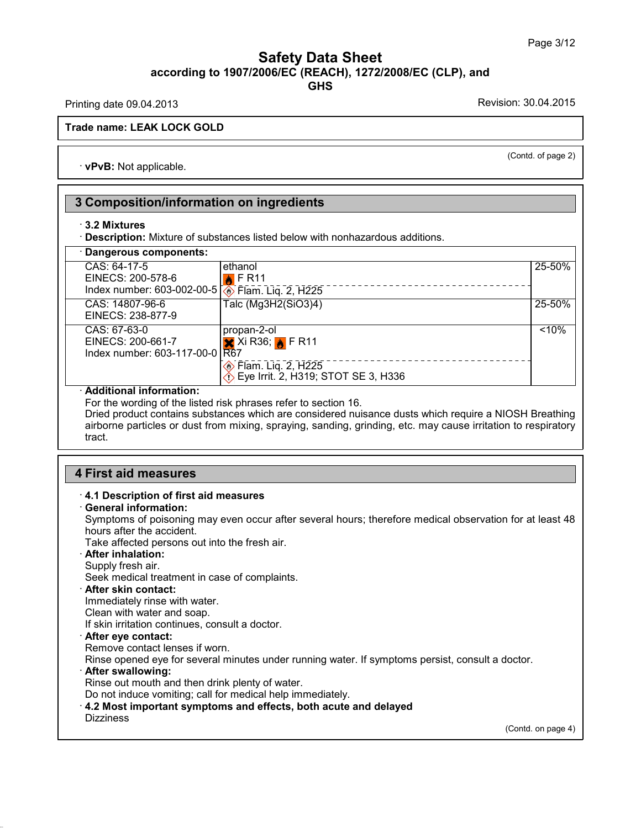### Safety Data Sheet<br><sub>006/EC (REACH), 1272/2008/EC (CLP),<br>GHS</sub> Page 3/12<br>**according to 1907/2006/EC (REACH), 1272/2008/EC (CLP), and<br>GHS<br>Revision: 30.04.2013<br>Revision: 30.04.2015 GHS Safety Data Sheet**<br>according to 1907/2006/EC (REACH), 1272/2008/EC (CLP), and<br>Printing date 09.04.2013<br>Revision: 30.04.2015 **ACCORDING 1907/2006/**<br>Printing date 09.04.2013<br>Trade name: LEAK LOCK GOLD

(Contd. of page 2)

Trade name: LEAK LOCK GOLD<br>
vPvB: Not applicable.

### **13 Composition/information on ingredients**<br> **3.2 Mixtures 3 Composition/information on ingredients**<br> **·** 3.2 Mixtures

| $\cdot$ 3.2 Mixtures                                                                        | · Description: Mixture of substances listed below with nonhazardous additions.                                                               |        |
|---------------------------------------------------------------------------------------------|----------------------------------------------------------------------------------------------------------------------------------------------|--------|
| Dangerous components:                                                                       |                                                                                                                                              |        |
| CAS: 64-17-5<br>EINECS: 200-578-6<br>Index number: 603-002-00-5 <b>1</b> Flam. Liq. 2, H225 | ethanol<br>$\triangle$ FR11                                                                                                                  | 25-50% |
| CAS: 14807-96-6<br>EINECS: 238-877-9                                                        | Talc (Mg3H2(SiO3)4)                                                                                                                          | 25-50% |
| CAS: 67-63-0<br>EINECS: 200-661-7<br>Index number: 603-117-00-0 R67                         | propan-2-ol<br>$\mathsf{X}$ Xi R36; $\mathsf{N}$ F R11<br><b><i>A</i></b> Flam. Liq. 2, H225<br><i>A</i> Eye Irrit. 2, H319; STOT SE 3, H336 | < 10%  |

Dried product contains substances which are considered nuisance dusts which require a NIOSH Breathing **Additional information:**<br>
For the wording of the listed risk phrases refer to section 16.<br>
Dried product contains substances which are considered nuisance dusts which require a NIOSH Breathing<br>
airborne particles or dust tract. For the wording of the listed risk ph<br>Dried product contains substances<br>airborne particles or dust from mixi<br>tract.<br>**4 First aid measures**<br>**4.1 Description of first aid measures** 

# **First aid measures<br>
· 4.1 Description of first aid measures<br>
· General information:<br>
Symptoms of poisoning may eyen occur after se**

**First aid measures**<br> **4.1 Description of first aid**<br> **General information:**<br>
Symptoms of poisoning may<br>
hours after the accident. First aid measures<br>4.1 Description of first aid measures<br>General information:<br>Symptoms of poisoning may even occur after several hours; therefore medical observation for at least 48<br>hours after the accident.<br>Take affected **First aid measures<br>4.1 Description of first aid meas<br>General information:**<br>Symptoms of poisoning may even<br>hours after the accident.<br>Take affected persons out into the **4.1 Description of first aid measures**<br> **General information:**<br>
Symptoms of poisoning may even occur after several hours<br>
hours after the accident.<br>
Take affected persons out into the fresh air.<br> **After inhalation:**<br>
Supp **General information:**<br>Symptoms of poisoning may evinours after the accident.<br>Take affected persons out into the<br>**After inhalation:**<br>Supply fresh air.<br>Seek medical treatment in case<br>After skin contact: Symptoms of poisoning may even occur after several<br>hours after the accident.<br>Take affected persons out into the fresh air.<br>**After inhalation:**<br>Supply fresh air.<br>Seek medical treatment in case of complaints.<br>**After skin con** 

Take affected persons out into the fresh a<br>**After inhalation:**<br>Supply fresh air.<br>Seek medical treatment in case of compla<br>**After skin contact:**<br>Immediately rinse with water.<br>Clean with water and soap.<br>If skin irritation co Supply fresh air.<br>
Seek medical treatment in case of complaints.<br> **After skin contact:**<br>
Immediately rinse with water.<br>
Clean with water and soap.<br>
If skin irritation continues, consult a doctor.<br> **After eye contact:**<br>
Rem

After inhalation:<br>Supply fresh air.<br>Seek medical treatment in case of comp<br>After skin contact:<br>Immediately rinse with water.<br>Clean with water and soap.<br>If skin irritation continues, consult a docto

**After skin contact:**<br>
Immediately rinse with water.<br>
Clean with water and soap.<br>
If skin irritation continues, consult a doctor.<br> **After eye contact:**<br>
Remove contact lenses if worn.<br>
Rinse opened eye for several minutes Immediately rinse with water.<br>
Clean with water and soap.<br>
If skin irritation continues, consult a doctor.<br> **After eye contact:**<br>
Remove contact lenses if worn.<br>
Rinse opened eye for several minutes under running water. If <p>• After eye contact:</p>\n<p>Remove contact lenses if worn.</p>\n<p>Rinse opened eye for several minutes under running water. If symptoms persist, c</p>\n<p>• After swallowing:</p>\n<p>Rinse out mouth and then drink plenty of water.</p>\n<p>Do not induce vomiting; call for medical help immediately.</p>\n<p>• 4.2 Most important symptoms and effects, both acute and delayed</p>\n<p>Dizziness</p>

Rinse out mouth and then drink plenty of water.<br>Do not induce vomiting; call for medical help immediately.<br>4.2 Most important symptoms and effects, both acute and delayed

### Dizziness

36.0.22

(Contd. on page 4)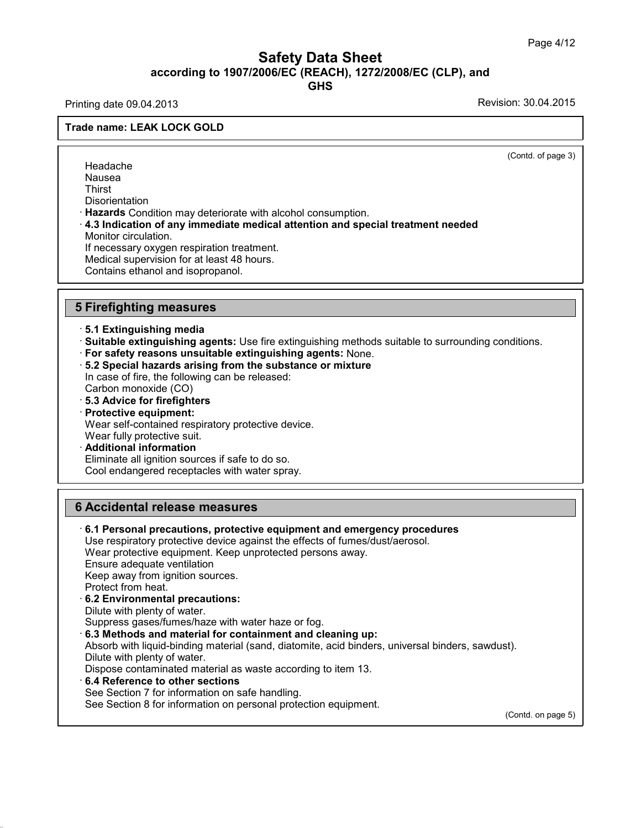### Safety Data Sheet<br><sub>006/EC (REACH), 1272/2008/EC (CLP),<br>GHS</sub> Page 4/12<br>**according to 1907/2006/EC (REACH), 1272/2008/EC (CLP), and<br>GHS<br>Revision: 30.04.2013<br>Revision: 30.04.2015 GHS Safety Data Sheet**<br>according to 1907/2006/EC (REACH), 1272/2008/EC (CLP), and<br>Printing date 09.04.2013<br>Revision: 30.04.2015 **ACCORDING 1907/2006/**<br>Printing date 09.04.2013<br>Trade name: LEAK LOCK GOLD

(Contd. of page 3)

Headache Nausea **Thirst Disorientation Frances**<br> **Nausea**<br> **Condition may deteriorate with alcohol consumption.**<br> **• A.3 Indication of any immediate medical attention and special treatment needed<br>
Monitor circulation.<br>
If necessary oxygen respiration treatment** Nausea<br>Thirst<br>Disorientation<br>**Hazards C**ondition may de<br>**4.3 Indication of any imm**<br>Monitor circulation.<br>If necessary oxygen respira<br>Medical sunervision for at k Thirst<br>Disorientation<br>**Hazards** Condition may deteriorate with alcohol co<br>**4.3 Indication of any immediate medical attentio**<br>Monitor circulation.<br>If necessary oxygen respiration treatment.<br>Medical supervision for at least Disorientation<br>Hazards Condition may deteriorate with alcohol consulation of any immediate medical attention<br>Monitor circulation.<br>If necessary oxygen respiration treatment.<br>Medical supervision for at least 48 hours.<br>Contai Hazards Condition may deteriorate with a<br>4.3 Indication of any immediate medic<br>Monitor circulation.<br>If necessary oxygen respiration treatmen<br>Medical supervision for at least 48 hours.<br>Contains ethanol and isopropanol. Monitor circulation.<br>
If necessary oxygen respiration treatme<br>
Medical supervision for at least 48 hours<br>
Contains ethanol and isopropanol.<br>
5 Firefighting measures<br>
5.1 Extinguishing media Contains ethanol and isopropanol.<br> **5.1 Extinguishing measures**<br> **5.1 Extinguishing media**<br>
• Suitable extinguishing agents: Use<br>
• For safety reasons unsuitable exting **5 Firefighting measures**<br> **5.1 Extinguishing media**<br> **: Suitable extinguishing agents:** Use fire extinguishing methods suitable to surrounding conditions.<br> **: For safety reasons unsuitable extinguishing agents:** None.<br> **:** 

- 
- 

5.1 Extinguishing media<br>
Suitable extinguishing agents: Use fire extinguishing<br>
For safety reasons unsuitable extinguishing agent<br>
5.2 Special hazards arising from the substance or in<br>
case of fire, the following can be re 5.1 Extinguishing media<br>Suitable extinguishing agents: Use<br>For safety reasons unsuitable extir<br>5.2 Special hazards arising from th<br>In case of fire, the following can be re<br>Carbon monoxide (CO)<br>5.3 Advice for firefighters<br>P • **Suitable extinguishing agents:** US<br>• **For safety reasons unsuitable exti**<br>• **5.2 Special hazards arising from ti**<br>In case of fire, the following can be red Carbon monoxide (CO)<br>• **5.3 Advice for firefighters**<br>• **Protect** • **For sarety reasons unsultable 5.2 Special hazards arising f**<br>In case of fire, the following calcarbon monoxide (CO)<br>5.3 Advice for firefighters<br>**Protective equipment:**<br>Wear self-contained respirator<br>Wear fully protectiv 5.2 Special hazards arising from the substance or mixture<br>In case of fire, the following can be released:<br>Carbon monoxide (CO)<br>5.3 Advice for firefighters<br>Protective equipment:<br>Wear self-contained respiratory protective de In case of fire, the following can be released:<br>Carbon monoxide (CO)<br> **5.3 Advice for firefighters**<br> **Protective equipment:**<br>
Wear self-contained respiratory protective device.<br>
Wear fully protective suit.<br> **Additional inf** 

- 
- 

36.0.22

5.3 Advice for firefighters<br>Protective equipment:<br>Wear self-contained respiratory protective device.<br>Wear fully protective suit.<br>Additional information<br>Eliminate all ignition sources if safe to do so.<br>Cool endangered recep Cool endangered receptacles with water spray. Wear fully protective sulf.<br> **Additional information**<br>
Eliminate all ignition sources if safe to do so.<br>
Cool endangered receptacles with water spray.<br> **6 Accidental release measures**<br>
6.1 Personal precautions, protective

**Cool endangered receptacies with water spray.**<br> **• Accidental release measures**<br>
• **6.1 Personal precautions, protective equipment and emergency procedures**<br>
Use respiratory protective device against the effects of fumes/ Accidental release measures<br>6.1 Personal precautions, protective equipment and emergency procedure<br>Use respiratory protective device against the effects of fumes/dust/aerosol.<br>Wear protective equipment. Keep unprotected pe **Accidental release measures**<br>6.1 Personal precautions, protective equipment and emergency proce<br>Use respiratory protective device against the effects of fumes/dust/aerosol<br>Wear protective equipment. Keep unprotected perso Accidental release measures<br>6.1 Personal precautions, protectiv<br>Use respiratory protective device aga<br>Wear protective equipment. Keep un<br>Ensure adequate ventilation<br>Keep away from ignition sources.<br>Protect from heat **6.1 Personal precautions, protective equ**<br>Use respiratory protective device against the<br>Wear protective equipment. Keep unprotect<br>Ensure adequate ventilation<br>Keep away from ignition sources.<br>Protect from heat. **6.1 Personal precautions, protective**<br>Use respiratory protective device again.<br>Wear protective equipment. Keep unpro<br>Ensure adequate ventilation<br>Keep away from ignition sources.<br>Protect from heat.<br>**6.2 Environmental preca** Wear protective equipment. Keep unpr<br>Ensure adequate ventilation<br>Keep away from ignition sources.<br>Protect from heat.<br>6.2 Environmental precautions:<br>Dilute with plenty of water.<br>Suppress gases/fumes/haze with water<br>6.3 Moth Suppress gases/fumes/haze with water haze or fog.<br> **S.2 Environmental precautions:**<br>
Dilute with plenty of water.<br>
Suppress gases/fumes/haze with water haze or fog.<br> **6.3 Methods and material for containment and cleaning u** Protect from heat.<br>**6.2 Environmental precautions:**<br>Dilute with plenty of water.<br>Suppress gases/fumes/haze with water haze or fog.<br>**6.3 Methods and material for containment and cleaning up:**<br>Absorb with liquid-binding mate **6.2 Environmental precautions:**<br>Dilute with plenty of water.<br>Suppress gases/fumes/haze with water<br>**6.3 Methods and material for contair**<br>Absorb with liquid-binding material (sar<br>Dilute with plenty of water.<br>Dispose contam Dilute with plenty of water.<br>
Suppress gases/fumes/haze with water haze or fog.<br> **6.3 Methods and material for containment and cleaning up:**<br>
Absorb with liquid-binding material (sand, diatomite, acid binders, universal bi **6.3 Methods and material for containment and cleani**<br>Absorb with liquid-binding material (sand, diatomite, acid<br>Dilute with plenty of water.<br>Dispose contaminated material as waste according to ite<br>**6.4 Reference to other** Dilute with plenty of water.<br>
Dispose contaminated material as waste according to item 13.<br>
6.4 Reference to other sections<br>
See Section 7 for information on safe handling.<br>
See Section 8 for information on personal protec (Contd. on page 5)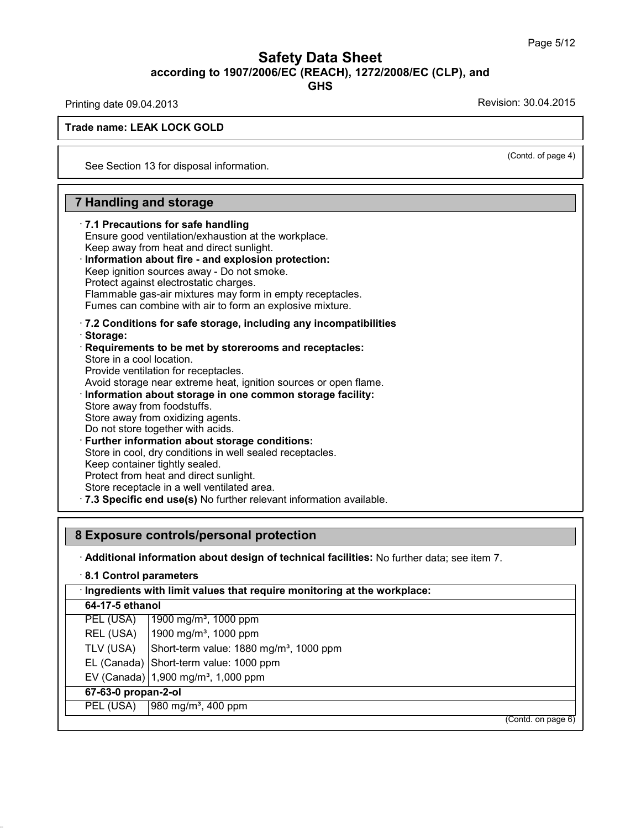### Safety Data Sheet<br><sub>006/EC (REACH), 1272/2008/EC (CLP),<br>GHS</sub> Page 5/12<br>**according to 1907/2006/EC (REACH), 1272/2008/EC (CLP), and<br>GHS<br>Revision: 30.04.2013<br>Revision: 30.04.2015 GHS** Page 5/12<br> **Safety Data Sheet**<br>
according to 1907/2006/EC (REACH), 1272/2008/EC (CLP), and<br>
GHS<br>
Revision: 30.04.2015<br>
Revision: 30.04.2015 **ACCORDING 1907/2006/**<br>Printing date 09.04.2013<br>Trade name: LEAK LOCK GOLD

(Contd. of page 4)

Trade name: LEAK LOCK GOLD<br>
See Section 13 for disposal information. See Section 13 for disposal information.<br> **7 Handling and storage**<br> **7.1 Precautions for safe handling** 

See Section 13 for disposal information.<br> **7.1 Precautions for safe handling**<br> **7.1 Precautions for safe handling**<br>
Ensure good ventilation/exhaustion at the workeep away from heat and direct sunlight. **Handling and storage<br>
7.1 Precautions for safe handling<br>
Ensure good ventilation/exhaustion at the workplace.<br>
Keep away from heat and direct sunlight.<br>
Information about fire - and explosion protection: Keep away from heat and direct supplementally**<br> **Ensure good ventilation/exhaustion at the workplace.**<br> **Information about fire - and explosion protection:**<br> **Information about fire - and explosion protection:**<br> **Keep ign** 7.1 Precautions for safe handling<br>Ensure good ventilation/exhaustion at the workplace.<br>Keep away from heat and direct sunlight.<br>Information about fire - and explosion protection:<br>Keep ignition sources away - Do not smoke.<br> 7.1 Precautions for safe handling<br>Ensure good ventilation/exhaustion at the work<br>Keep away from heat and direct sunlight.<br>Information about fire - and explosion prote<br>Keep ignition sources away - Do not smoke.<br>Protect agai

Keep away from heat and direct sunlight.<br> **Information about fire - and explosion protection:**<br>
Keep ignition sources away - Do not smoke.<br>
Protect against electrostatic charges.<br>
Flammable gas-air mixtures may form in emp

Fumes can combine with air to form and the explosion protection:<br> **The explosion sources away - Do not smoke.**<br>
Protect against electrostatic charges.<br>
Flammable gas-air mixtures may form in empty receptacles.<br>
Fumes can c · **Storage:** Flammable gas-air mixtures may form in empty receptacles.<br>
Fumes can combine with air to form an explosive mixture.<br> **7.2 Conditions for safe storage, including any incompatibilitie**<br> **Storage:**<br> **Requirements to be met by** 

Fumes can combine with air to form an explosive mixture.<br>7.2 Conditions for safe storage, including any incompastorage:<br>Requirements to be met by storerooms and receptacle<br>Store in a cool location.<br>Provide ventilation for Fantos can combine warranterform and constraints<br> **Provide:**<br> **Requirements to be met by storeroom:**<br>
Store in a cool location.<br>
Provide ventilation for receptacles.<br>
Avoid storage near extreme heat, ignition<br> **Information** Avoid storage:<br>
Avoid storage:<br>
Avoid storage near extreme heat, ignition sources or open flame.<br>
Provide ventilation for receptacles.<br>
Avoid storage near extreme heat, ignition sources or open flame.<br> **Information about s** Requirements to be met by storer<br>Store in a cool location.<br>Provide ventilation for receptacles.<br>Avoid storage near extreme heat, ig<br>Information about storage in one<br>Store away from oxidizing agents.<br>Do not store together w Store in a cool location.<br>Provide ventilation for receptacles.<br>Avoid storage near extreme heat, ignition sou<br>**Information about storage in one common**<br>Store away from foodstuffs.<br>Store away from oxidizing agents.<br>Do not st Provide ventilation for receptacles.<br>Avoid storage near extreme heat, ignition sources or ope<br> **Information about storage in one common storage f**<br>
Store away from oxidizing agents.<br>
Do not store together with acids.<br> **Fur** Information about storage in one common storage facility<br>Store away from foodstuffs.<br>Store away from oxidizing agents.<br>Do not store together with acids.<br>Further information about storage conditions:<br>Store in cool, dry cond Store away from foodstuffs.<br>Store away from oxidizing agents.<br>Do not store together with acids.<br>**Further information about storage con**<br>Store in cool, dry conditions in well sealed<br>Keep container tightly sealed.<br>Protect fr Store away from oxidizing agents.<br>Do not store together with acids.<br>**Further information about storage condition**<br>Store in cool, dry conditions in well sealed recep<br>Keep container tightly sealed.<br>Protect from heat and dire Store in a cool, dry conditions in well sealed receptacles.<br>
Store in cool, dry conditions in well sealed receptacles.<br>
Keep container tightly sealed.<br>
Protect from heat and direct sunlight.<br>
Store receptacle in a well ven

36.0.22

Exportance tightly sealed.<br>
Protect from heat and direct sunlight.<br>
Store receptacle in a well ventilated area.<br> **8 Exposure controls/personal protection**<br> **8 Exposure controls/personal protection**<br> **Additional information** 

|                        | 8 Exposure controls/personal protection                                                     |
|------------------------|---------------------------------------------------------------------------------------------|
|                        | · Additional information about design of technical facilities: No further data; see item 7. |
| 8.1 Control parameters |                                                                                             |
|                        | · Ingredients with limit values that require monitoring at the workplace:                   |
| 64-17-5 ethanol        |                                                                                             |
| PEL (USA)              | 1900 mg/m <sup>3</sup> , 1000 ppm                                                           |
|                        | REL (USA)   1900 mg/m <sup>3</sup> , 1000 ppm                                               |
| TLV (USA)              | Short-term value: 1880 mg/m <sup>3</sup> , 1000 ppm                                         |
|                        | EL (Canada) Short-term value: 1000 ppm                                                      |
|                        | EV (Canada) $ 1,900 \text{ mg/m}^3$ , 1,000 ppm                                             |
| 67-63-0 propan-2-ol    |                                                                                             |
| PEL (USA)              | 980 mg/m <sup>3</sup> , 400 ppm                                                             |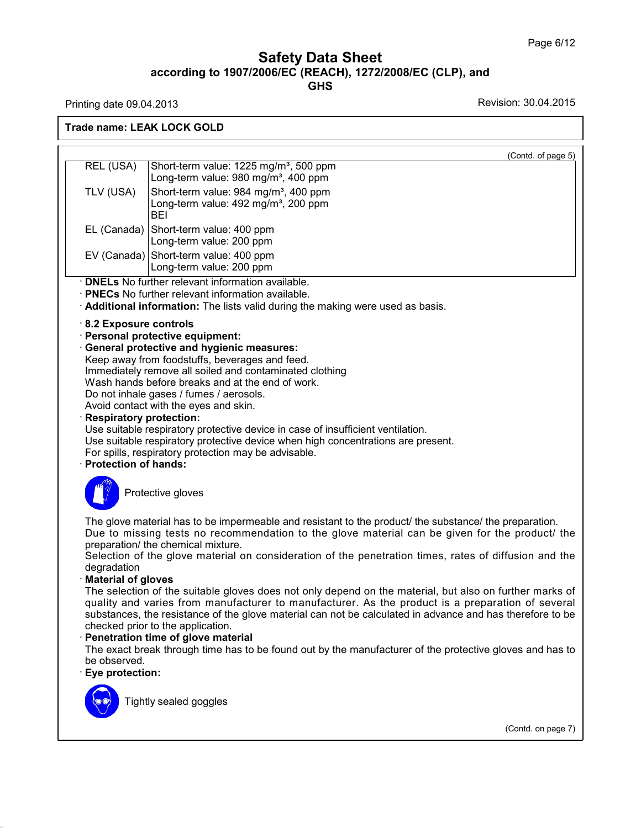### Safety Data Sheet<br><sub>006/EC (REACH), 1272/2008/EC (CLP),<br>GHS</sub> Page 6/12<br>**according to 1907/2006/EC (REACH), 1272/2008/EC (CLP), and<br><b>GHS**<br>Revision: 30.04.2013 Page 6/12<br> **Safety Data Sheet**<br>
according to 1907/2006/EC (REACH), 1272/2008/EC (CLP), and<br>
GHS<br>
Revision: 30.04.2015<br>
Revision: 30.04.2015

**GHS**

36.0.22

**ACCORDING 1907/2006/**<br>Printing date 09.04.2013<br>Trade name: LEAK LOCK GOLD (Contd. of page 5) Ing date 09.04.2013<br> **REL (USA)** Short-term value: 1225 mg/m<sup>3</sup>, 500 ppm<br>
Long-term value: 980 mg/m<sup>3</sup>, 400 ppm<br>
TLM (USA) Short-term value: 980 mg/m<sup>3</sup>, 400 ppm K LOCK GOLD<br>
Short-term value: 1225 mg/mª, 500 ppm<br>
Long-term value: 980 mg/mª, 400 ppm<br>Short-term value: 984 mg/mª, 400 ppm REL (USA) Short-term value: 1225 mg/m<sup>3</sup>, 500 ppm<br>TLV (USA) Short-term value: 980 mg/m<sup>3</sup>, 400 ppm<br>TLV (USA) Short-term value: 984 mg/m<sup>3</sup>, 400 ppm<br>Long-term value: 492 mg/m<sup>3</sup>, 200 ppm Short-term value: 1225 mg/m<sup>3</sup>, 500 ppm<br>Long-term value: 980 mg/m<sup>3</sup>, 400 ppm<br>Short-term value: 984 mg/m<sup>3</sup>, 400 ppm<br>Long-term value: 492 mg/m<sup>3</sup>, 200 ppm<br>BEI BEI EL (USA)<br>
Long-term value: 980 mg/m<sup>3</sup>, 400 ppm<br>
Long-term value: 984 mg/m<sup>3</sup>, 400 ppm<br>
Long-term value: 492 mg/m<sup>3</sup>, 200 ppm<br>
BEI<br>
EL (Canada)<br>
Short-term value: 400 ppm<br>
Long-term value: 200 ppm<br>
Long-term value: 200 ppm Long-term value: 980 mg/m<sup>3</sup>, 400 ppm<br>
TLV (USA) Short-term value: 984 mg/m<sup>3</sup>, 400 ppm<br>
Long-term value: 492 mg/m<sup>3</sup>, 200 ppm<br>
BEI<br>
EL (Canada) Short-term value: 400 ppm<br>
Long-term value: 200 ppm<br>
EV (Canada) Short-term v EL (Canada)<br>
Short-term value: 492 mg/m<sup>3</sup>, 200 ppm<br>
EL (Canada)<br>
Short-term value: 400 ppm<br>
Long-term value: 200 ppm<br>
EV (Canada)<br>
Short-term value: 400 ppm<br>
Long-term value: 400 ppm Econg-term value: 432 mg/m , 200 ppm<br>BEI<br>Short-term value: 400 ppm<br>Long-term value: 400 ppm<br>Short-term value: 200 ppm<br>Long-term value: 200 ppm<br>ther relevant information available. EL (Canada) Short-term value: 400 ppm<br>
Long-term value: 200 ppm<br>
EV (Canada) Short-term value: 400 ppm<br>
DNELs No further relevant information available.<br>
PNECs No further relevant information available.<br>
Additional informa • **DNELs** No further relevant information available.<br>• **PNECs** No further relevant information available.<br>• **Additional information:** The lists valid during the<br>• 8.2 Exposure controls<br>• Personal protective equipment:<br>• Ge • **PNECs** No further relevant information available.<br>
• **Additional information:** The lists valid during the ma<br>
• 8.2 **Exposure controls**<br>
• **Personal protective equipment:**<br>
• **General protective and hygienic measures:**<br> Additional information: The lists valid during the making were<br>8.2 Exposure controls<br>Personal protective equipment:<br>General protective and hygienic measures:<br>Keep away from foodstuffs, beverages and feed.<br>Immediately remov **Exposure controls<br>
B.2 Exposure controls<br>
Personal protective equipment:<br>
General protective and hygienic measures:<br>
Keep away from foodstuffs, beverages and feed.<br>
Immediately remove all soiled and contaminated clothing<br>** Immediately remove all soiled and contaminated clothing<br>Wash hands before breaks and at the end of work.<br>Do not inhale gases / fumes / aerosols.<br>Avoid contact with the eyes and skin. Keep away from foodstuffs, beverages and feed.<br>Immediately remove all soiled and contaminated<br>Wash hands before breaks and at the end of wor<br>Do not inhale gases / fumes / aerosols.<br>Avoid contact with the eyes and skin.<br>Res **General protective and hygienic measures:**<br>Keep away from foodstuffs, beverages and feed.<br>Immediately remove all soiled and contaminated cl<br>Wash hands before breaks and at the end of work.<br>Do not inhale gases / fumes / ae Immediately remove all soiled and contaminated clothing<br>Wash hands before breaks and at the end of work.<br>Do not inhale gases / fumes / aerosols.<br>Avoid contact with the eyes and skin.<br>**Respiratory protection:**<br>Use suitable Wash hands before breaks and at the end of work.<br>Do not inhale gases / fumes / aerosols.<br>Avoid contact with the eyes and skin.<br>**Respiratory protection:**<br>Use suitable respiratory protective device in case of insufficient ve For spills, respiratory protection may be advisable.<br> **Respiratory protection:**<br>
Use suitable respiratory protective device in case of insuffic<br>
Use suitable respiratory protective device when high conce<br>
For spills, respi Suble respiratory protective devable respiratory protective devable respiratory protective devable respiratory protection may b<br>s, respiratory protection may b<br>**Protective gloves** Protection of hands:<br>
The glove material has to be impermeable and resistant to the product/ the substance/ the preparation.<br>
Due to missing tests no recommendation to the glove material can be given for the product/ the<br> Protective gloves<br>
The glove material has to be impermeable and resistant to the product/ the substance/ the preparation.<br>
Due to missing tests no recommendation to the glove material can be given for the product/ the<br>
pr Protective gloves<br>The glove material has to be impermeable are<br>Due to missing tests no recommendation<br>preparation/ the chemical mixture.<br>Selection of the glove material on conside<br>degradation The glove material has to be impermeable and resistant to the product/ the substance/ the preparation.<br>Due to missing tests no recommendation to the glove material can be given for the product/ the preparation/ the chemica degradation The glove material has to be impermeable and resistant to the product/ the substance/ the preparation.<br>Due to missing tests no recommendation to the glove material can be given for the product/ the preparation/ the chemica Due to missing tests no recommendation to the glove material can be given for the product/ the<br>preparation/ the chemical mixture.<br>Selection of the glove material on consideration of the penetration times, rates of diffusio preparation/ the chemical mixture.<br>Selection of the glove material on consideration of the penetration times, rates of diffusion and the<br>degradation<br>**Material of gloves**<br>The selection of the suitable gloves does not only d Selection of the glove material on consideration of the penetration times, rates of diffusion and the<br>degradation<br>**Material of gloves**<br>The selection of the suitable gloves does not only depend on the material, but also on degradation<br> **Checked prior is the selection of the suitable gloves does not**<br>
quality and varies from manufacturer to material<br>
substances, the resistance of the glove materi<br>
checked prior to the application.<br> **Penetrati** The selection of the suitable gloves does not only depend on the material, but also on further marks of<br>quality and varies from manufacturer to manufacturer. As the product is a preparation of several<br>substances, the resis substances, the resistance of the glove material can not be calculated in advance and has therefore to be checked prior to the application.<br> **Penetration time of glove material**<br>
The exact break through time has to be foun The exact break through time has to be found out by the manufacturer of the protective gloves and has to (Contd. on page 7)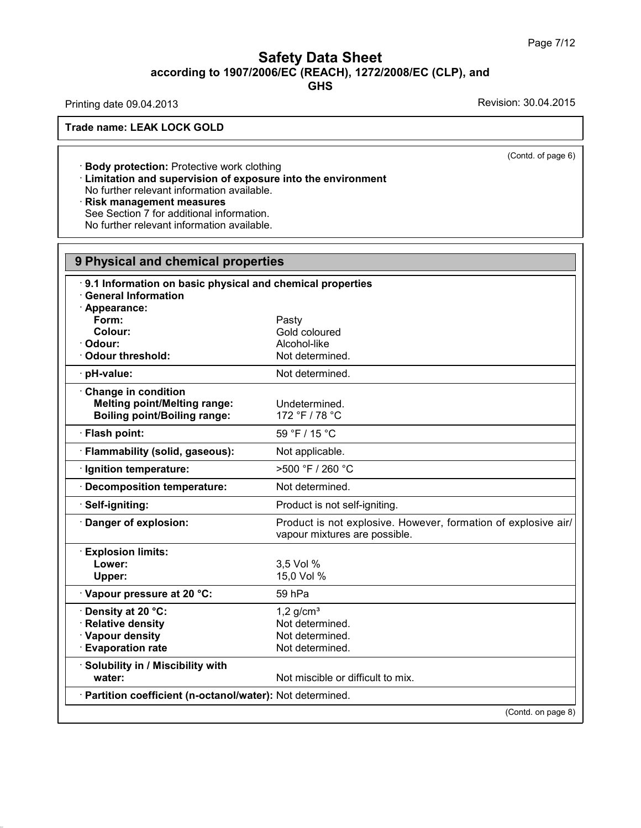# Page 7/<br> **Safety Data Sheet**<br> **according to 1907/2006/EC (REACH), 1272/2008/EC (CLP), and**<br>
GHS Page 7/12<br> **Safety Data Sheet**<br>
according to 1907/2006/EC (REACH), 1272/2008/EC (CLP), and<br>
GHS<br>
Revision: 30.04.2015<br>
Revision: 30.04.2015 **ACCORDING 1907/2006/**<br>Printing date 09.04.2013<br>Trade name: LEAK LOCK GOLD

**GHS**

36.0.22

Fining date 09.04.2013<br> **Example: LEAK LOCK GOLD**<br> **Example:** Body protection: Protective work clothing<br> **Example:** No further relevant information available **EXECT:**<br> **Example: LEAK LOCK GOLD<br>
• Body protection:** Protective work clothing<br>
• Limitation and supervision of exposure into the environment<br>
No further relevant information available.<br>
• Risk management measures No Further Relevant Information and Supervision of exposure into the No further relevant information available.<br>• **Risk management measures**<br>See Section 7 for additional information.<br>No further relevant information availab Body protection: Protective work clothing<br>Limitation and supervision of exposure into<br>No further relevant information available.<br>Risk management measures<br>See Section 7 for additional information.<br>No further relevant inform Body protection: Protective work clothing<br>Limitation and supervision of exposure into the<br>No further relevant information available.<br>Risk management measures<br>See Section 7 for additional information.<br>No further relevant in

| 9 Physical and chemical properties                         |                                                                                                 |
|------------------------------------------------------------|-------------------------------------------------------------------------------------------------|
| 9.1 Information on basic physical and chemical properties  |                                                                                                 |
| <b>General Information</b>                                 |                                                                                                 |
| · Appearance:                                              |                                                                                                 |
| Form:                                                      | Pasty                                                                                           |
| Colour:                                                    | Gold coloured                                                                                   |
| Odour:                                                     | Alcohol-like                                                                                    |
| <b>Odour threshold:</b>                                    | Not determined.                                                                                 |
| · pH-value:                                                | Not determined.                                                                                 |
| Change in condition                                        |                                                                                                 |
| <b>Melting point/Melting range:</b>                        | Undetermined.                                                                                   |
| <b>Boiling point/Boiling range:</b>                        | 172 °F / 78 °C                                                                                  |
| · Flash point:                                             | 59 °F / 15 °C                                                                                   |
| Flammability (solid, gaseous):                             | Not applicable.                                                                                 |
| Ignition temperature:                                      | >500 °F / 260 °C                                                                                |
| <b>Decomposition temperature:</b>                          | Not determined.                                                                                 |
| Self-igniting:                                             | Product is not self-igniting.                                                                   |
| Danger of explosion:                                       | Product is not explosive. However, formation of explosive air/<br>vapour mixtures are possible. |
| <b>Explosion limits:</b>                                   |                                                                                                 |
| Lower:                                                     | 3,5 Vol %                                                                                       |
| Upper:                                                     | 15,0 Vol %                                                                                      |
| · Vapour pressure at 20 °C:                                | 59 hPa                                                                                          |
| · Density at 20 °C:                                        | $1,2$ g/cm <sup>3</sup>                                                                         |
| · Relative density                                         | Not determined.                                                                                 |
| · Vapour density                                           | Not determined.                                                                                 |
| <b>Evaporation rate</b>                                    | Not determined.                                                                                 |
| · Solubility in / Miscibility with                         |                                                                                                 |
| water:                                                     | Not miscible or difficult to mix.                                                               |
| · Partition coefficient (n-octanol/water): Not determined. |                                                                                                 |
|                                                            | (Contd. on page 8)                                                                              |

(Contd. of page 6)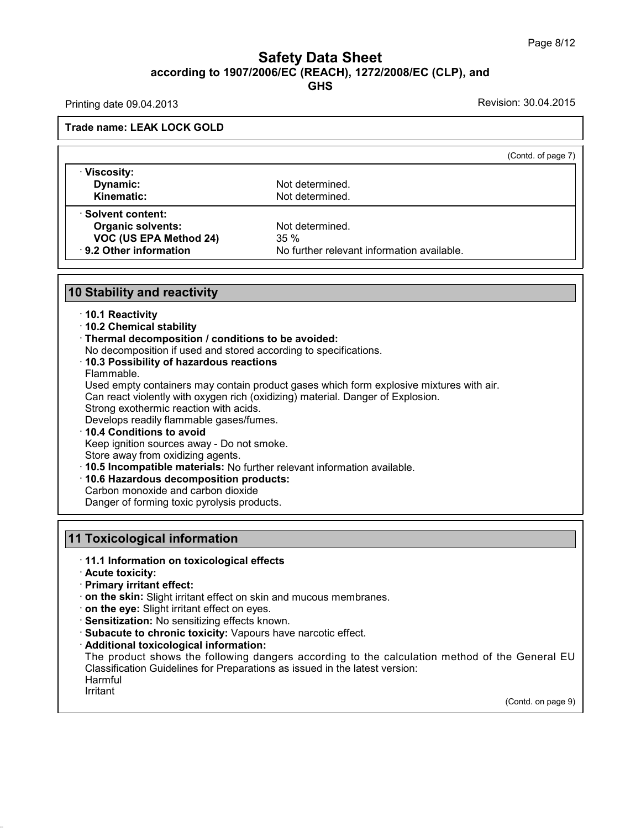### Page 8/<br> **Safety Data Sheet**<br> **according to 1907/2006/EC (REACH), 1272/2008/EC (CLP), and**<br>
GHS **GHS Safety Data Sheet**<br>according to 1907/2006/EC (REACH), 1272/2008/EC (CLP), and<br>Printing date 09.04.2013<br>Revision: 30.04.2015 **ACCORDING 1907/2006/**<br>Printing date 09.04.2013<br>Trade name: LEAK LOCK GOLD

| $\overline{1}$ in turity date 00.04.2010                                                                                |                                                                                               |
|-------------------------------------------------------------------------------------------------------------------------|-----------------------------------------------------------------------------------------------|
| <b>Trade name: LEAK LOCK GOLD</b>                                                                                       |                                                                                               |
|                                                                                                                         | (Contd. of page 7)                                                                            |
| · Viscosity:                                                                                                            |                                                                                               |
| Dynamic:<br>Kinematic:                                                                                                  | Not determined.<br>Not determined.                                                            |
| <b>Solvent content:</b>                                                                                                 |                                                                                               |
| <b>Organic solvents:</b>                                                                                                | Not determined.                                                                               |
| VOC (US EPA Method 24)                                                                                                  | 35%                                                                                           |
| 9.2 Other information                                                                                                   | No further relevant information available.                                                    |
|                                                                                                                         |                                                                                               |
| <b>10 Stability and reactivity</b>                                                                                      |                                                                                               |
| ⋅ 10.1 Reactivity                                                                                                       |                                                                                               |
| · 10.2 Chemical stability                                                                                               |                                                                                               |
| · Thermal decomposition / conditions to be avoided:<br>No decomposition if used and stored according to specifications. |                                                                                               |
| 10.3 Possibility of hazardous reactions                                                                                 |                                                                                               |
| Flammable.                                                                                                              |                                                                                               |
|                                                                                                                         | Used empty containers may contain product gases which form explosive mixtures with air.       |
| Strong exothermic reaction with acids.                                                                                  | Can react violently with oxygen rich (oxidizing) material. Danger of Explosion.               |
| Develops readily flammable gases/fumes.                                                                                 |                                                                                               |
| 10.4 Conditions to avoid                                                                                                |                                                                                               |
| Keep ignition sources away - Do not smoke.                                                                              |                                                                                               |
| Store away from oxidizing agents.<br>· 10.5 Incompatible materials: No further relevant information available.          |                                                                                               |
| · 10.6 Hazardous decomposition products:                                                                                |                                                                                               |
| Carbon monoxide and carbon dioxide                                                                                      |                                                                                               |
| Danger of forming toxic pyrolysis products.                                                                             |                                                                                               |
|                                                                                                                         |                                                                                               |
| <b>11 Toxicological information</b>                                                                                     |                                                                                               |
| 11.1 Information on toxicological effects                                                                               |                                                                                               |
| · Acute toxicity:<br>Primary irritant effect:                                                                           |                                                                                               |
| on the skin: Slight irritant effect on skin and mucous membranes.                                                       |                                                                                               |
| on the eye: Slight irritant effect on eyes.                                                                             |                                                                                               |
| · Sensitization: No sensitizing effects known.                                                                          |                                                                                               |
| · Subacute to chronic toxicity: Vapours have narcotic effect.                                                           |                                                                                               |
| · Additional toxicological information:                                                                                 |                                                                                               |
| Classification Guidelines for Preparations as issued in the latest version:                                             | The product shows the following dangers according to the calculation method of the General EU |
| Harmful                                                                                                                 |                                                                                               |
|                                                                                                                         |                                                                                               |
| Irritant                                                                                                                | (Contd. on page 9)                                                                            |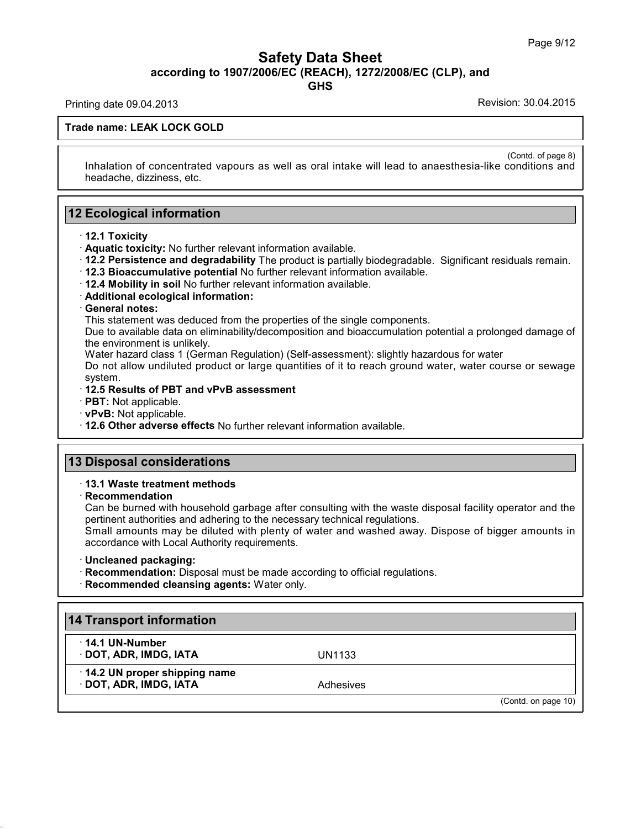### Safety Data Sheet<br><sub>006/EC (REACH), 1272/2008/EC (CLP),<br>GHS</sub> Page 9/12<br>**according to 1907/2006/EC (REACH), 1272/2008/EC (CLP), and<br>GHS<br>Revision: 30.04.2013<br>Revision: 30.04.2015 Safety Data Sheet**<br>according to 1907/2006/EC (REACH), 1272/2008/EC (CLP), and<br>Printing date 09.04.2013<br>Revision: 30.04.2015 **ACCORDING 1907/2006/**<br>Printing date 09.04.2013<br>Trade name: LEAK LOCK GOLD

**GHS**

(Contd. of page 8)<br>conditions and Inhalation of concentrated vapours as well as oral intake will lead to anaesthesia-like conditions and headache, dizziness, etc. de name: LEAK LOCK GOLD<br>Inhalation of concentrated vapours as<br>headache, dizziness, etc. Inhalation of concentrated vapours as v<br>headache, dizziness, etc.<br>**12 Ecological information**<br>**12.1 Toxicity 12 Ecological information**<br> **12.1 Toxicity**<br> **12.1 Toxicity**<br> **12.1 Toxicity**<br> **12.1 Toxicity**<br> **12.1 Toxicity**<br> **12.1 Toxicity**<br> **12.1 Toxicity**<br> **12.1 Toxicity**<br> **12.1 Toxicity** 

- 
- 
- 2<br>
2<br> **Ecological information**<br>
12.1 Toxicity<br>
12.2 Persistence and degradability The product is partially biodegradable. Significant residuals remain.<br>
12.3 Bioaccumulative potential No further relevant information availa **TRACE PERIST PERISTON CONTROVIDED THE PRODUCT IS PATEIDY DISCONSIGNMENT PRODUCT 12.3 Bioaccumulative potential No further relevant information available.<br>
<b>CENT 12.4 Mobility in soil No further relevant information avail**
- 
- 
- 

This statement was deduced from the properties of the single components.<br>This statement was deduced from the properties of the single components.<br>Due to available data on eliminability/decomposition and bioaccumulation p<br>t 12.3 Bioaccumulative potential No further relevant information available.<br>12.4 Mobility in soil No further relevant information available.<br>Additional ecological information:<br>Ceneral notes:<br>This statement was deduced from t **12.4 Mobility in soil No further releva<br>Additional ecological information:<br>General notes:<br>This statement was deduced from the<br>Due to available data on eliminability/c<br>the environment is unlikely.<br>Water hazard class 1 (Ger** Additional ecological information:<br>General notes:<br>This statement was deduced from the properties of the single components.<br>Due to available data on eliminability/decomposition and bioaccumulation potential a prolonged dama

General notes:<br>This statement was deduced from the properties of the single components.<br>Due to available data on eliminability/decomposition and bioaccumulation potential a prolonged damage of<br>the environment is unlikely.<br> system. Due to available data on eliminability/decomposition<br>the environment is unlikely.<br>Water hazard class 1 (German Regulation) (Self-as<br>Do not allow undiluted product or large quantities<br>system.<br>**12.5 Results of PBT and vPvB Example 12.6 Other adverse effects** Not further relevant information available.<br>
• **PBT:** Not applicable. • **PBT and vPvB assessment**<br>
• **PBT:** Not applicable.<br>
• **PBT:** Not applicable.<br>
• **12.6 Other adverse effects** No

- 
- 

12.5 Results of PBT and VPVB assessment<br>
PBT: Not applicable.<br>
12.6 Other adverse effects No further relations<br>
13 Disposal considerations<br>
13.1 Waste treatment methods **12.6 Other adverse effects No further relevant information available.<br>
13 Disposal considerations<br>
13.1 Waste treatment methods** 

· **Recommendation**

Disposal considerations<br>13.1 Waste treatment methods<br>Recommendation<br>Can be burned with household garbage after consulting with the waste disposal facility operator and the<br>pertinent authorities and adhering to the necessar **Disposal considerations**<br>13.1 Waste treatment methods<br>Recommendation<br>Can be burned with household garbage after consulting with the waste dispos<br>pertinent authorities and adhering to the necessary technical regulations.<br>S **13.1 Waste treatment methods<br>
Recommendation**<br>
Can be burned with household garbage after cons<br>
pertinent authorities and adhering to the necessary<br>
Small amounts may be diluted with plenty of wat<br>
accordance with Local A

**13.1 Waste treatment methods**<br> **Recommendation**<br>
Can be burned with household garbage after consulting with the waste disposal facility operator and the<br>
pertinent authorities and adhering to the necessary technical regul For the same with holdscholar ganage anch obnoming with the waste disposal repertinent authorities and adhering to the necessary technical regulations.<br>
Small amounts may be diluted with plenty of water and washed away. Di

- 
- 

| · Uncleaned packaging:<br>· Recommendation: Disposal must be made according to official regulations.<br>· Recommended cleansing agents: Water only. |           |                     |
|-----------------------------------------------------------------------------------------------------------------------------------------------------|-----------|---------------------|
| 14 Transport information                                                                                                                            |           |                     |
| $\cdot$ 14.1 UN-Number<br>· DOT, ADR, IMDG, IATA                                                                                                    | UN1133    |                     |
| 14.2 UN proper shipping name<br>· DOT, ADR, IMDG, IATA                                                                                              | Adhesives |                     |
|                                                                                                                                                     |           | (Contd. on page 10) |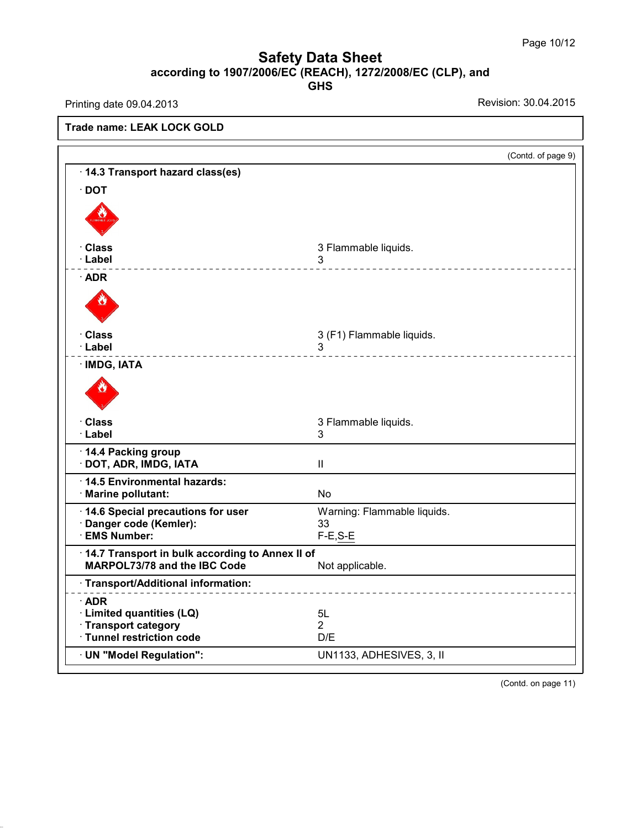### Page 10/<br> **Safety Data Sheet**<br> **according to 1907/2006/EC (REACH), 1272/2008/EC (CLP), and**<br>
GHS **GHS Safety Data Sheet**<br>according to 1907/2006/EC (REACH), 1272/2008/EC (CLP), and<br>Printing date 09.04.2013<br>Revision: 30.04.2015

36.0.22

**ACCORDING 1907/2006/**<br>Printing date 09.04.2013<br>Trade name: LEAK LOCK GOLD (Contd. of page 9) Trade name: LEAK LOCK GOLD<br>
<del>14.3 Transport hazard class(es)</del> · **DOT** · **Class** 3 Flammable liquids. · **Label** <sup>3</sup> · **ADR** · **Class** 3 (F1) Flammable liquids. · **Label** <sup>3</sup> **Class<br>· Label<br>· IMDG, IATA** · **Class** 3 Flammable liquids. · **Label** <sup>3</sup> **Class**<br>**14.4 Packing group**<br>• DOT, ADR, IMDG, IATA · Class 3 Flar<br>
· Label 3<br>
· 14.4 Packing group<br>
· DOT, ADR, IMDG, IATA II<br>
· 14.5 Environmental hazards: Marine pollutant: No <u>• 14.4 Packing group<br>• DOT, ADR, IMDG, IATA Ⅱ<br>• 14.5 Environmental hazards: Marine pollutant: No<br>• 14.6 Special precautions for user Warning: Fla</u> · **14.4 Packing group**<br>
· **DOT, ADR, IMDG, IATA**<br>
· **14.5 Environmental hazards:**<br>
· **Marine pollutant:**<br>
· **14.6 Special precautions for user** Warning: Flammable liquids.<br>
· **Danger code (Kemler):**<br>
· **EMS Number:**<br>
• **E** 14.5 Environmental hazards:<br>
Marine pollutant:<br>
14.6 Special precautions for user<br>
Danger code (Kemler):<br>
F-E,S-E<br>
F-E,S-E<br>
F-E,S-E<br>
F-E,S-E<br>
F-E,S-E • Marine politicant:<br>
• 14.6 Special precautions for user<br>
• Danger code (Kemler):<br>
• EMS Number:<br>
• 14.7 Transport in bulk according to Annex II of<br>
• MARPOL73/78 and the IBC Code<br>
• Not applicable. **Marring: Flammable lives in the IBC Code**<br> **MARPOL73/78 and the IBC Code**<br> **MARPOL73/78 and the IBC Code**<br> **MARPOL73/78 and the IBC Code**<br> **MARPOL73/78 and the IBC Code**<br> **MARPOL73/78 and the IBC Code**<br> **MADR** · **ADR** • 14.7 Transport in buik according to Annex ii or<br> **MARPOL73/78** and the IBC Code<br>
• Transport/Additional information:<br>
• ADR<br>
• Limited quantities (LQ) blue 5L<br>
• Transport category 2<br>
• Tunnel restriction code D/F ■ **Transport/Additional information:**<br> **ADR**<br> **Consider Category**<br> **Consider Category**<br> **Consider Category**<br> **Consider Category**<br> **Consider Category**<br> **Consider Category**<br> **Consider Category**<br> **Consider Category**<br> **Consid** · Transport/Additional information:<br>
• ADR<br>
• Limited quantities (LQ) 5L<br>
• Transport category 2<br>
• Tunnel restriction code D/E<br>
• UN "Model Regulation": UN1133, ADHI · **ADR**<br>
· Limited quantities (LQ) 5L<br>
· Transport category 2<br>
· Tunnel restriction code D/E<br>
· UN "Model Regulation": UN1133, ADHESIVES, 3, II (Contd. on page 11)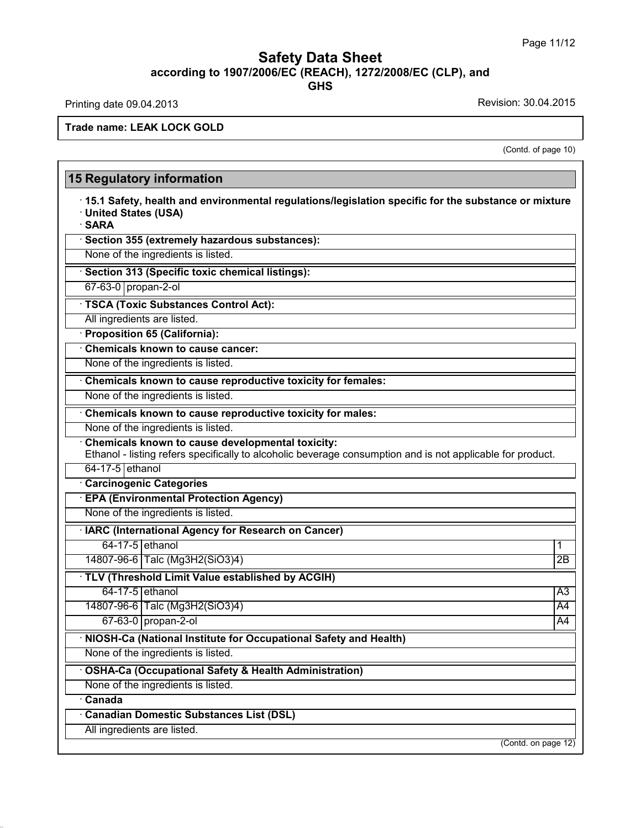### **Safety Data Sheet**<br> **according to 1907/2006/EC (REACH), 1272/2008/EC (CLP), and**<br> **GHS GHS Safety Data Sheet**<br>according to 1907/2006/EC (REACH), 1272/2008/EC (CLP), and<br>Printing date 09.04.2013<br>Revision: 30.04.2015<br>Frade name: LEAK LOCK GOLD

36.0.22

Printing date 09.04.2013<br>Trade name: LEAK LOCK GOLD

ion: 30.04.2015<br>(Contd. of page 10)

|                                                                                                                                                                | (Contd. of page 10) |
|----------------------------------------------------------------------------------------------------------------------------------------------------------------|---------------------|
| <b>15 Regulatory information</b>                                                                                                                               |                     |
| 15.1 Safety, health and environmental regulations/legislation specific for the substance or mixture<br>· United States (USA)<br>· SARA                         |                     |
| Section 355 (extremely hazardous substances):                                                                                                                  |                     |
| None of the ingredients is listed.                                                                                                                             |                     |
| Section 313 (Specific toxic chemical listings):                                                                                                                |                     |
| 67-63-0 propan-2-ol                                                                                                                                            |                     |
| · TSCA (Toxic Substances Control Act):                                                                                                                         |                     |
| All ingredients are listed.                                                                                                                                    |                     |
| · Proposition 65 (California):                                                                                                                                 |                     |
| <b>Chemicals known to cause cancer:</b>                                                                                                                        |                     |
| None of the ingredients is listed.                                                                                                                             |                     |
| Chemicals known to cause reproductive toxicity for females:                                                                                                    |                     |
| None of the ingredients is listed.                                                                                                                             |                     |
| Chemicals known to cause reproductive toxicity for males:                                                                                                      |                     |
| None of the ingredients is listed.                                                                                                                             |                     |
| Chemicals known to cause developmental toxicity:<br>Ethanol - listing refers specifically to alcoholic beverage consumption and is not applicable for product. |                     |
| 64-17-5 ethanol                                                                                                                                                |                     |
| <b>Carcinogenic Categories</b>                                                                                                                                 |                     |
| <b>EPA (Environmental Protection Agency)</b>                                                                                                                   |                     |
| None of the ingredients is listed.                                                                                                                             |                     |
| · IARC (International Agency for Research on Cancer)                                                                                                           |                     |
| 64-17-5 ethanol                                                                                                                                                | 1                   |
| 14807-96-6 Talc (Mg3H2(SiO3)4)                                                                                                                                 | $\overline{2B}$     |
| · TLV (Threshold Limit Value established by ACGIH)                                                                                                             |                     |
| 64-17-5 ethanol                                                                                                                                                | $\overline{A3}$     |
| 14807-96-6 Talc (Mg3H2(SiO3)4)                                                                                                                                 | $\overline{A4}$     |
| 67-63-0 propan-2-ol                                                                                                                                            | $\overline{A4}$     |
| · NIOSH-Ca (National Institute for Occupational Safety and Health)                                                                                             |                     |
| None of the ingredients is listed.                                                                                                                             |                     |
| · OSHA-Ca (Occupational Safety & Health Administration)                                                                                                        |                     |
| None of the ingredients is listed.                                                                                                                             |                     |
| <b>Canada</b>                                                                                                                                                  |                     |
| <b>Canadian Domestic Substances List (DSL)</b>                                                                                                                 |                     |
| All ingredients are listed.                                                                                                                                    |                     |